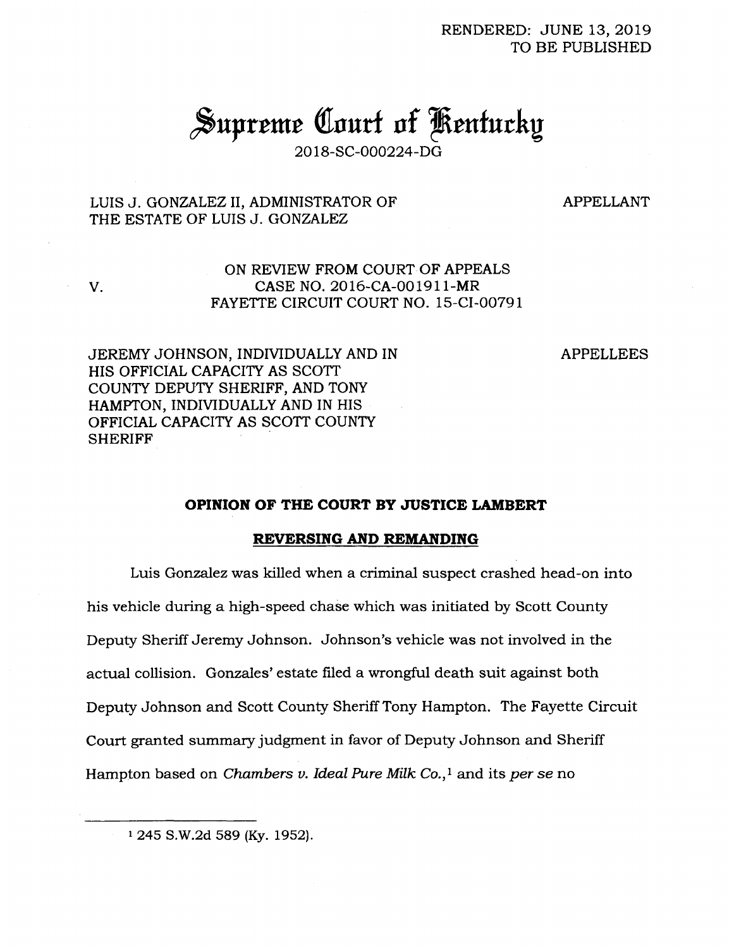RENDERED: JUNE 13, 2019 TO BE PUBLISHED

# Supreme Court of Kentucky

2018-SC-000224-DG

## LUIS J. GONZALEZ II, ADMINISTRATOR OF THE ESTATE OF LUIS J. GONZALEZ

V.

APPELLANT

## ON REVIEW FROM COURT OF APPEALS CASE NO. 2016-CA-001911-MR FAYETTE CIRCUIT COURT NO. 15-CI-00791

JEREMY JOHNSON, INDIVIDUALLY AND IN APPELLEES HIS OFFICIAL CAPACITY AS SCOTT COUNTY DEPUTY SHERIFF, AND TONY HAMPTON, INDIVIDUALLY AND IN HIS OFFICIAL CAPACITY AS SCOTT COUNTY **SHERIFF** 

### **OPINION OF THE COURT BY JUSTICE LAMBERT**

#### **REVERSING AND REMANDING**

Luis Gonzalez was killed when a criminal suspect crashed head-on into his vehicle during a high-speed chase which was initiated by Scott County Deputy Sheriff Jeremy Johnson. Johnson's vehicle was not involved in the actual collision. Gonzales' estate filed a wrongful death suit against both Deputy Johnson and Scott County Sheriff Tony Hampton. The Fayette Circuit Court granted summary judgment in favor of Deputy Johnson and Sheriff Hampton based on *Chambers v. Ideal Pure Milk Co.,<sup>1</sup>* and its *per se* no

<sup>1</sup> 245 S.W.2d 589 (Ky. 1952).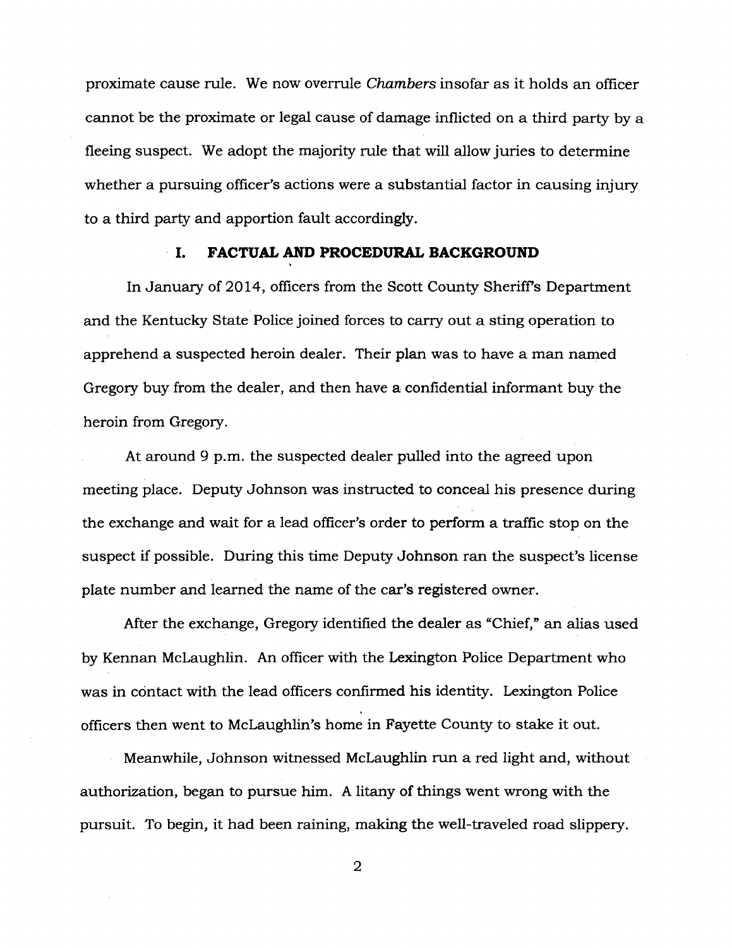proximate cause rule. We now overrule *Chambers* insofar as it holds an officer cannot be the proximate or legal cause of damage inflicted on a third party by a fleeing suspect. We adopt the majority rule that will allow juries to determine whether a pursuing officer's actions were a substantial factor in causing injury to a third party and apportion fault accordingly.

#### **I. FACTUAL AND PROCEDURAL BACKGROUND**

In January of 2014, officers from the Scott County Sheriff's Department and the Kentucky State Police joined forces to carry out a sting operation to apprehend a suspected heroin dealer. Their plan was to have a man named Gregory buy from the dealer, and then have a confidential informant buy the heroin from Gregory.

At around 9 p.m. the suspected dealer pulled into the agreed upon meeting place. Deputy Johnson was instructed to conceal his presence during the exchange and wait for a lead officer's order to perform a traffic stop on the suspect if possible. During this time Deputy Johnson ran the suspect's license plate number and learned the name of the car's registered owner.

After the exchange, Gregory identified the dealer as "Chief," an alias used by Kennan McLaughlin. An officer with the Lexington Police Department who was in contact with the lead officers confirmed his identity. Lexington Police officers then went to McLaughlin's home in Fayette County to stake it out.

Meanwhile, Johnson witnessed McLaughlin run a red light and, without authorization, began to pursue him. A litany of things went wrong with the pursuit. To begin, it had been raining, making the well-traveled road slippery.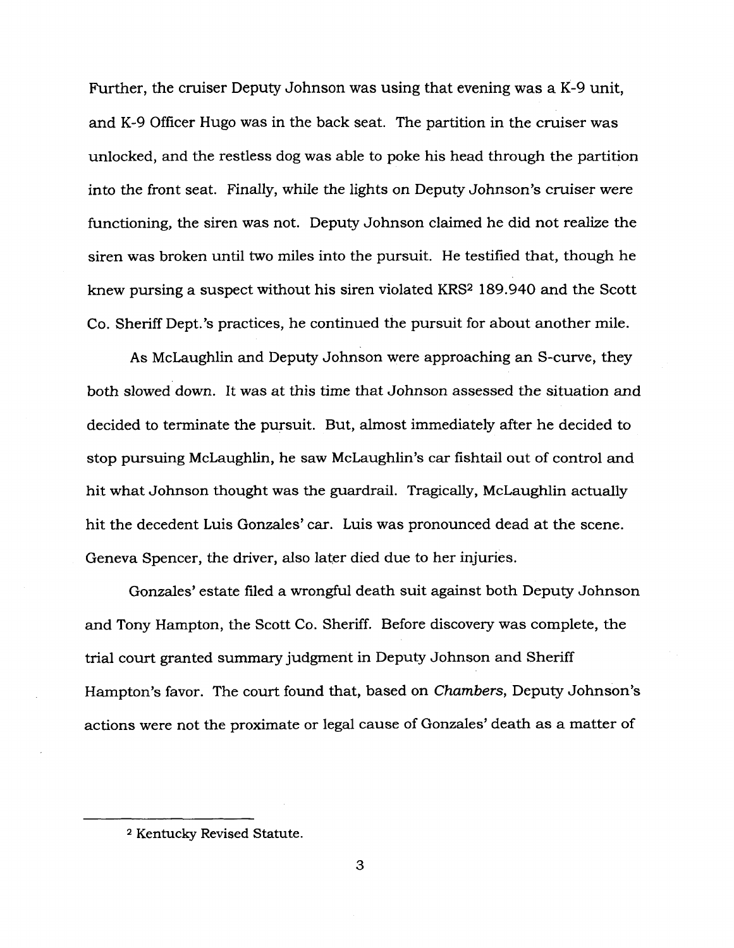Further, the cruiser Deputy Johnson was using that evening was a K-9 unit, and K-9 Officer Hugo was in the back seat. The partition in the cruiser was unlocked, and the restless dog was able to poke his head through the partition into the front seat. Finally, while the lights on Deputy Johnson's cruiser were functioning, the siren was not. Deputy Johnson claimed he did not realize the siren was broken until two miles into the pursuit. He testified that, though he knew pursing a suspect without his siren violated KRS<sup>2</sup> 189.940 and the Scott Co. Sheriff Dept.'s practices, he continued the pursuit for about another mile.

As McLaughlin and Deputy Johnson were approaching an S-curve, they both slowed down. It was at this time that Johnson assessed the situation and decided to terminate the pursuit. But, almost immediately after he decided to stop pursuing McLaughlin, he saw McLaughlin's car fishtail out of control and hit what Johnson thought was the guardrail. Tragically, McLaughlin actually hit the decedent Luis Gonzales' car. Luis was pronounced dead at the scene. Geneva Spencer, the driver, also later died due to her injuries.

Gonzales' estate filed a wrongful death suit against both Deputy Johnson and Tony Hampton, the Scott Co. Sheriff. Before discovery was complete, the trial court granted summary judgment in Deputy Johnson and Sheriff Hampton's favor. The court found that, based on *Chambers,* Deputy Johnson's actions were not the proximate or legal cause of Gonzales' death as a matter of

<sup>2</sup> Kentucky Revised Statute.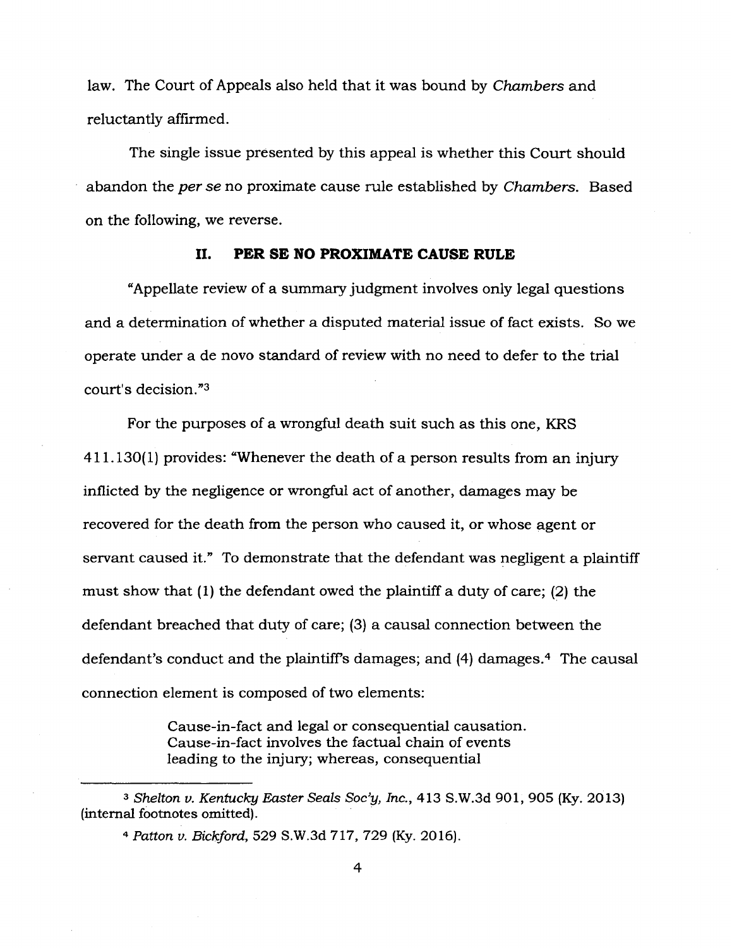law. The Court of Appeals also held that it was bound by *Chambers* and reluctantly affirmed.

The single issue presented by this appeal is whether this Court should abandon the *per se* no proximate cause rule established by *Chambers.* Based on the following, we reverse.

#### **II. PER SE NO PROXIMATE CAUSE RULE**

"Appellate review of a summary judgment involves only legal questions and a determination of whether a disputed material issue of fact exists. So we operate under a de novo standard of review with no need to defer to the trial court's decision."<sup>3</sup>

For the purposes of a wrongful death suit such as this one, KRS 411.130(1) provides: "Whenever the death of a person results from an injury inflicted by the negligence or wrongful act of another, damages may be recovered for the death from the person who caused it, or whose agent or servant caused it." To demonstrate that the defendant was negligent a plaintiff must show that (1) the defendant owed the plaintiff a duty of care; (2) the defendant breached that duty of care; (3) a causal connection between the defendant's conduct and the plaintiffs damages; and (4) damages.<sup>4</sup> The causal connection element is composed of two elements:

> Cause-in-fact and legal or consequential causation. Cause-in-fact involves the factual chain of events leading to the injury; whereas, consequential

*<sup>3</sup> Shelton v. Kentucky Easter Seals Soc'y, Inc.,* 413 S.W.3d 901, 905 (Ky. 2013) (internal footnotes omitted).

*<sup>4</sup> Patton v. Bickford,* 529 S.W.3d 717, 729 (Ky. 2016).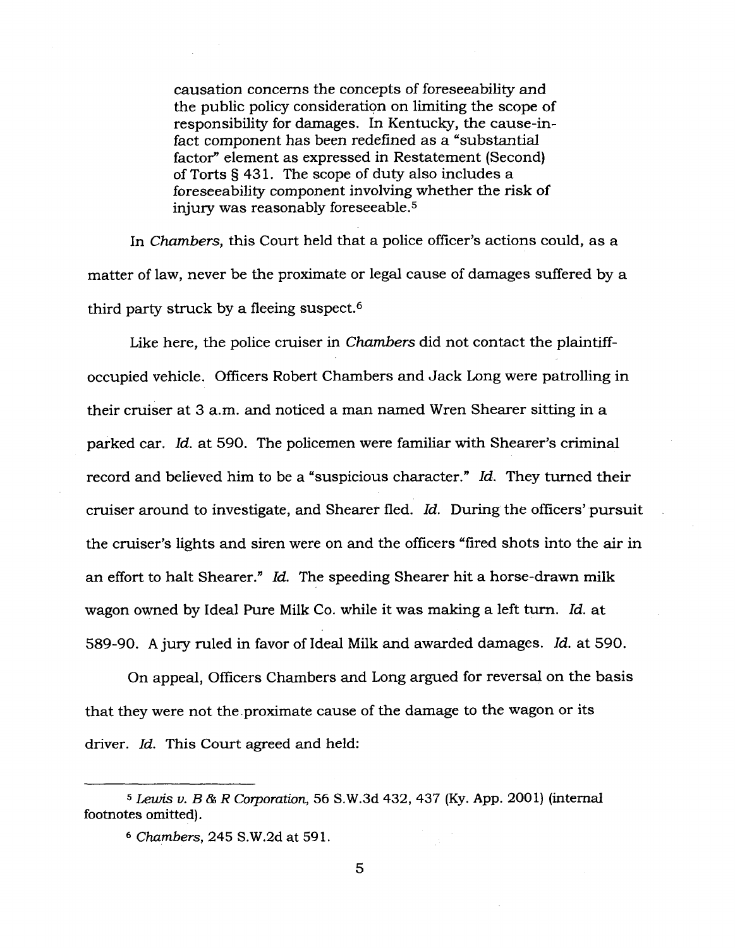causation concerns the concepts of foreseeability and the public policy consideration on limiting the scope of responsibility for damages. In Kentucky, the cause-infact component has been redefined as a "substantial factor" element as expressed in Restatement (Second) of Torts §431. The scope of duty also includes a foreseeability component involving whether the risk of injury was reasonably foreseeable.<sup>5</sup>

In *Chambers,* this Court held that a police officer's actions could, as a matter of law, never be the proximate or legal cause of damages suffered by a third party struck by a fleeing suspect.<sup>6</sup>

Like here, the police cruiser in *Chambers* did not contact the plaintiffoccupied vehicle. Officers Robert Chambers and Jack Long were patrolling in their cruiser at 3 a.m. and noticed a man named Wren Shearer sitting in a parked car. *Id.* at 590. The policemen were familiar with Shearer's criminal record and believed him to be a "suspicious character." *Id.* They turned their cruiser around to investigate, and Shearer fled. *Id.* During the officers' pursuit the cruiser's lights and siren were on and the officers "fired shots into the air in an effort to halt Shearer." *Id.* The speeding Shearer hit a horse-drawn milk wagon owned by Ideal Pure Milk Co. while it was making a left turn. *Id.* at 589-90. A jury ruled in favor of Ideal Milk and awarded damages. *Id.* at 590.

On appeal, Officers Chambers and Long argued for reversal on the basis that they were not the proximate cause of the damage to the wagon or its driver. *Id.* This Court agreed and held:

*<sup>5</sup> Lewis v. B&R Corporation,* 56 S.W.3d 432, 437 (Ky. App. 2001) (internal footnotes omitted).

*<sup>6</sup> Chambers,* 245 S.W.2d at 591.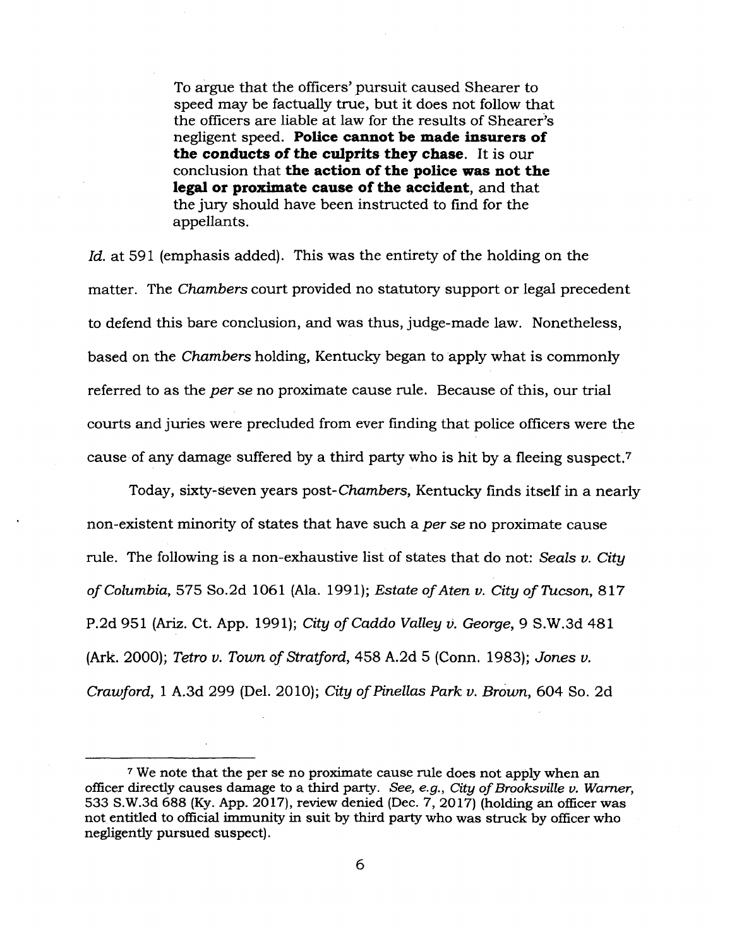To argue that the officers' pursuit caused Shearer to speed may be factually true, but it does not follow that the officers are liable at law for the results of Shearer's negligent speed. **Police cannot be made insurers of the conducts of the culprits they chase.** It is our conclusion that **the action of the police was not the legal or proximate cause of the accident,** and that the jury should have been instructed to find for the appellants.

*Id.* at 591 (emphasis added). This was the entirety of the holding on the matter. The *Chambers* court provided no statutory support or legal precedent to defend this bare conclusion, and was thus, judge-made law. Nonetheless, based on the *Chambers* holding, Kentucky began to apply what is commonly referred to as the *per se* no proximate cause rule. Because of this, our trial courts and juries were precluded from ever finding that police officers were the cause of any damage suffered by a third party who is hit by a fleeing suspect.<sup>7</sup>

Today, sixty-Seven years post-*Chambers,* Kentucky finds itself in a nearly non-existent minority of states that have such a *per se* no proximate cause rule. The following is a non-exhaustive list of states that do not: *Seals v. City of Columbia,* 575 So.2d 1061 (Ala. 1991); *Estate ofAten v. City of Tucson,* 817 P.2d 951 (Ariz. Ct. App. 1991); *City of Caddo Valley v. George,* 9 S.W.3d 481 (Ark. 2000); *Tetro v. Town of Stratford,* 458 A.2d 5 (Conn. 1983); *Jones v. Crawford,* <sup>1</sup> A.3d 299 (Del. 2010); *City ofPinellas Park v. Brown,* 604 So. 2d

<sup>7</sup> We note that the per se no proximate cause rule does not apply when an officer directly causes damage to a third party. *See, e.g., City ofBrooksville v. Warner,* 533 S.W.3d 688 (Ky. App. 2017), review denied (Dec. 7, 2017) (holding an officer was not entitled to official immunity in suit by third party who was struck by officer who negligently pursued suspect).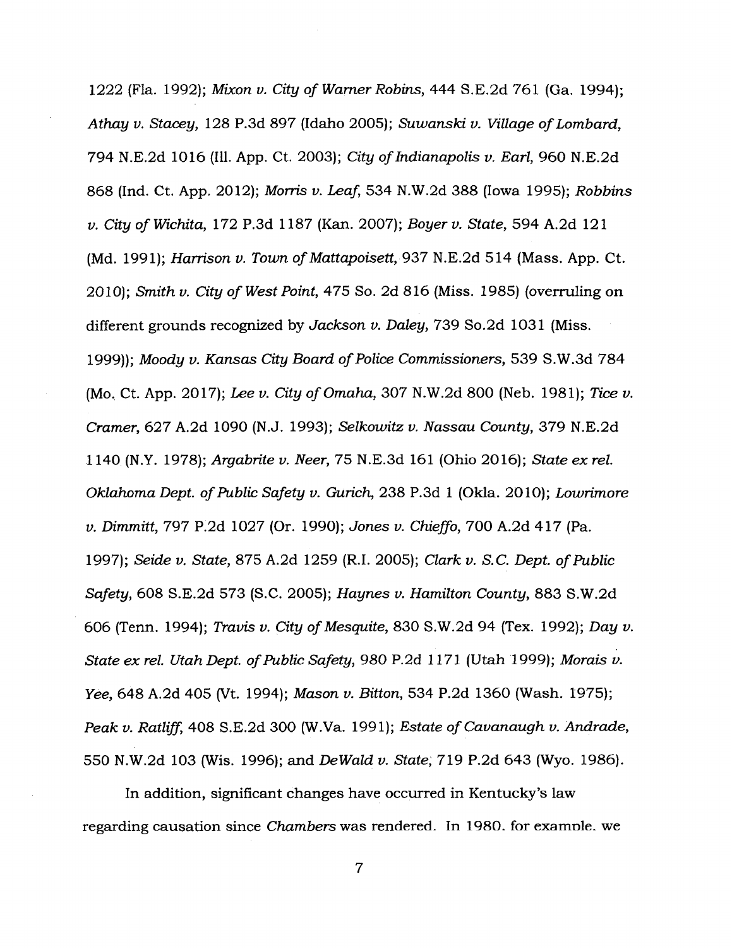1222 (Fla. 1992); *Mixon v. City of Warner Robins,* 444 S.E.2d 761 (Ga. 1994); *Athay v. Stacey,* 128 P.3d 897 (Idaho 2005); *Suwanski v. Village ofLombard,* 794 N.E.2d 1016 (Ill. App. Ct. 2003); *City ofIndianapolis v. Earl,* 960 N.E.2d 868 (Ind. Ct. App. 2012); *Morris v. Leaf,* 534 N.W.2d 388 (Iowa 1995); *Robbins v. City of Wichita,* 172 P.3d 1187 (Kan. 2007); *Boyer v. State,* 594 A.2d 121 (Md. 1991); *Harrison v. Town ofMattapoisett,*937 N.E.2d 514 (Mass. App. Ct. 2010); *Smith v. City of West Point, 475 So. 2d 816* (Miss. 1985) (overruling on different grounds recognized by *Jackson v. Daley,* 739 So.2d 1031 (Miss. 1999)); *Moody v. Kansas City Board ofPolice Commissioners,* 539 S.W.3d 784 (Mo, Ct. App. 2017); *Lee v. City ofOmaha,* 307 N.W.2d 800 (Neb. 1981); *Tice v. Cramer,* 627 A.2d 1090 (N.J. 1993); *Selkowitz v. Nassau County,* 379 N.E.2d 1140 (N.Y. 1978); *Argabrite v. Neer,* 75 N.E.3d 161 (Ohio 2016); *State ex rel. Oklahoma Dept. ofPublic Safety v. Gurich,* 238 P.3d <sup>1</sup> (Okla. 2010); *Lowrimore v. Dimmitt,* 797 P.2d 1027 (Or. 1990); *Jones v. Chieffo,* 700 A.2d 417 (Pa. 1997); *Seide v. State,* 875 A.2d 1259 (R.I. 2005); *Clark v. S.C. Dept. ofPublic Safety,* 608 S.E.2d 573 (S.C. 2005); *Haynes v. Hamilton County,* 883 S.W.2d 606 (Tenn. 1994); *Travis v. City ofMesquite,* 830 S.W.2d 94 (Tex. 1992); *Day v. State ex rel. Utah Dept. ofPublic Safety, 980 P.2d 1171* (Utah 1999); *Morais v. Yee,* 648 A.2d 405 (Vt. 1994); *Mason v. Bitton,* 534 P.2d 1360 (Wash. 1975); *Peak v. Ratliff,* 408 S.E.2d 300 (W.Va. 1991); *Estate of Cavanaugh v. Andrade,* 550 N.W.2d 103 (Wis. 1996); and *DeWald v. State,* 719 P.2d 643 (Wyo. 1986).

In addition, significant changes have occurred in Kentucky's law regarding causation since *Chambers* was rendered. In 1980, for example, we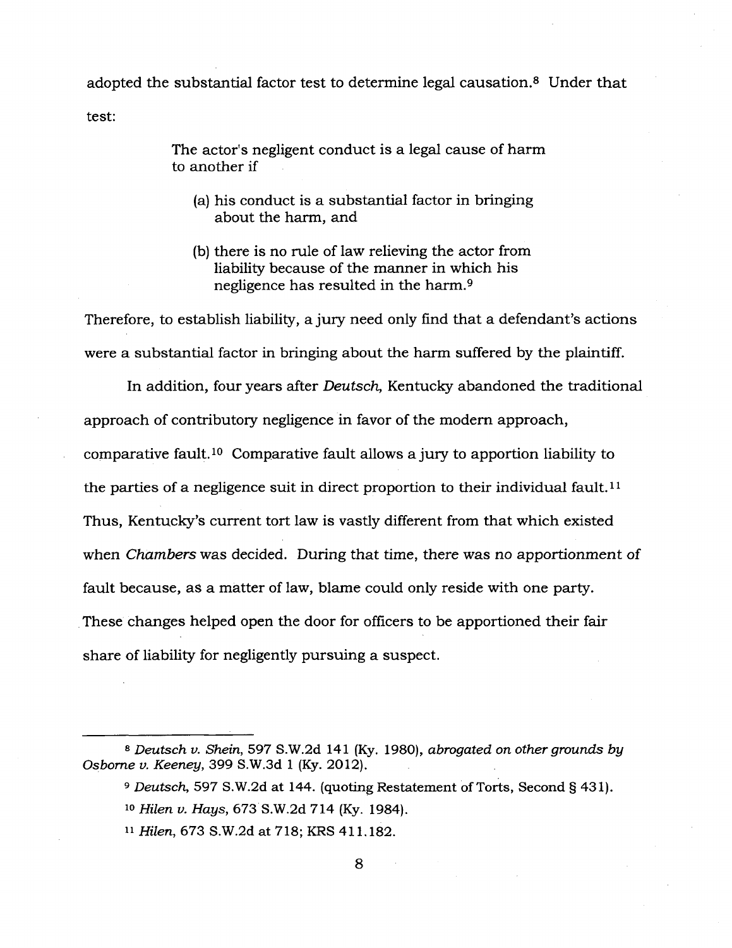adopted the substantial factor test to determine legal causation.<sup>8</sup> Under that test:

> The actor's negligent conduct is a legal cause of harm to another if

- (a) his conduct is a substantial factor in bringing about the harm, and
- (b) there is no rule of law relieving the actor from liability because of the manner in which his negligence has resulted in the harm.<sup>9</sup>

Therefore, to establish liability, a jury need only find that a defendant's actions were a substantial factor in bringing about the harm suffered by the plaintiff.

In addition, four years after *Deutsch,* Kentucky abandoned the traditional approach of contributory negligence in favor of the modem approach, comparative fault.<sup>10</sup> Comparative fault allows a jury to apportion liability to the parties of a negligence suit in direct proportion to their individual fault.<sup>11</sup> Thus, Kentucky's current tort law is vastly different from that which existed when *Chambers* was decided. During that time, there was no apportionment of fault because, as a matter of law, blame could only reside with one party. These changes helped open the door for officers to be apportioned their fair share of liability for negligently pursuing a suspect.

- <sup>10</sup> *Hilen v. Hays,* 673 S.W.2d 714 (Ky. 1984).
- <sup>11</sup> *Hilen,* 673 S.W.2d at 718; KRS 411.182.

*<sup>8</sup> Deutsch v. Shein,* 597 S.W.2d 141 (Ky. 1980), *abrogated on other grounds by Osborne v. Keeney,* 399 S.W.3d <sup>1</sup> (Ky. 2012).

*<sup>9</sup> Deutsch,* 597 S.W.2d at 144. (quoting Restatement of Torts, Second § 431).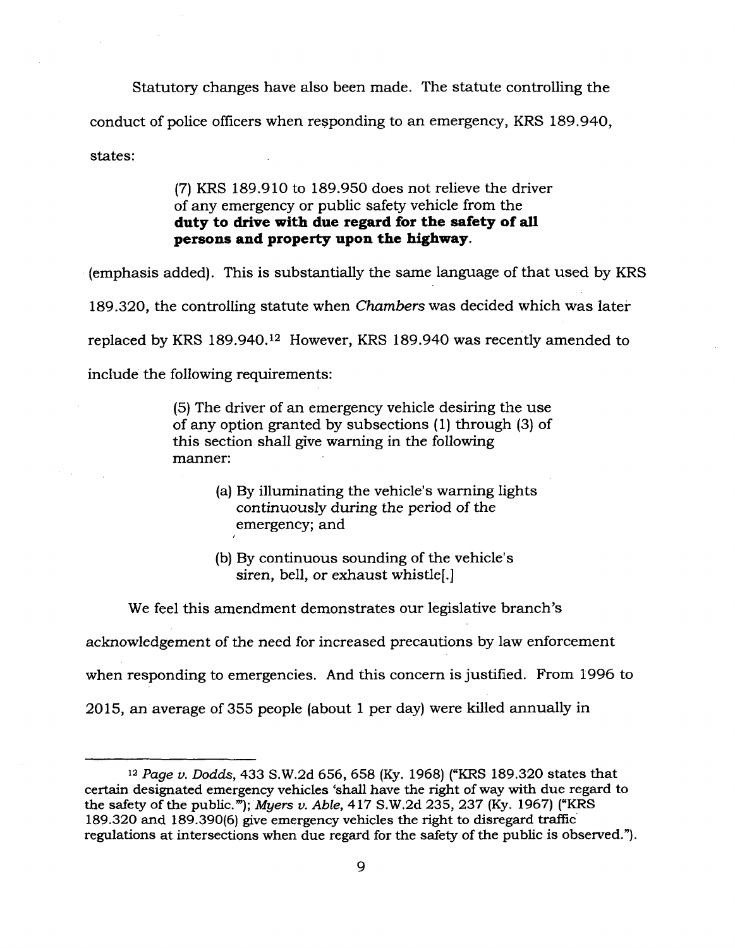Statutory changes have also been made. The statute controlling the conduct of police officers when responding to an emergency, KRS 189.940, states:

> (7) KRS 189.910 to 189.950 does not relieve the driver of any emergency or public safety vehicle from the **duty to drive with due regard for the safety of all persons and property upon the highway.**

(emphasis added). This is substantially the same language of that used by KRS

189.320, the controlling statute when *Chambers* was decided which was later

replaced by KRS 189.940.<sup>12</sup> However, KRS 189.940 was recently amended to

include the following requirements:

(5) The driver of an emergency vehicle desiring the use of any option granted by subsections (1) through (3) of this section shall give warning in the following manner:

- (a) By illuminating the vehicle's warning lights continuously during the period *of the* emergency; and
- (b) By continuous sounding of the vehicle's siren, bell, or exhaust whistle[.]

We feel this amendment demonstrates our legislative branch's

acknowledgement of the need for increased precautions by law enforcement

when responding to emergencies. And this concern is justified. From 1996 to

2015, an average of 355 people (about <sup>1</sup> per day) were killed annually in

<sup>12</sup> *Page v. Dodds,* 433 S.W.2d 656, 658 (Ky. 1968) ("KRS 189.320 states that certain designated emergency vehicles 'shall have the right of way with due regard to the safety of the public.""); *Myers v. Able*, 417 S.W.2d 235, 237 (Ky. 1967) ("KRS 189.320 and 189.390(6) give emergency vehicles the right to disregard traffic regulations at intersections when due regard for the safety of the public is observed.").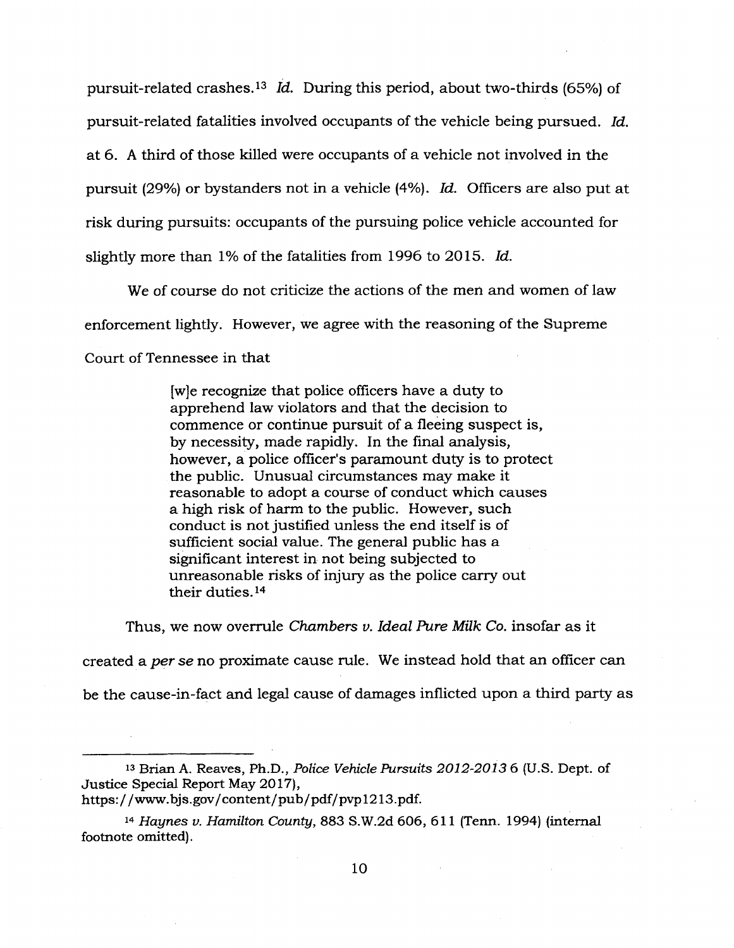pursuit-related crashes.<sup>13</sup> *Id.* During this period, about two-thirds (65%) of pursuit-related fatalities involved occupants of the vehicle being pursued. *Id.* at 6. A third of those killed were occupants of a vehicle not involved in the pursuit (29%) or bystanders not in a vehicle (4%). *Id.* Officers are also put at risk during pursuits: occupants of the pursuing police vehicle accounted for slightly more than 1% of the fatalities from 1996 to 2015. *Id.*

We of course do not criticize the actions of the men and women of law enforcement lightly. However, we agree with the reasoning of the Supreme Court of Tennessee in that

> [w]e recognize that police officers have a duty to apprehend law violators and that the decision to commence or continue pursuit of a fleeing suspect is, by necessity, made rapidly. In the final analysis, however, a police officer's paramount duty is to protect the public. Unusual circumstances may make it reasonable to adopt a course of conduct which causes a high risk of harm to the public. However, such conduct is not justified unless the end itself is of sufficient social value. The general public has a significant interest in not being subjected to unreasonable risks of injury as the police carry out their duties.<sup>14</sup>

Thus, we now overrule *Chambers v. Ideal Pure Milk Co.* insofar as it

created a *per se* no proximate cause rule. We instead hold that an officer can be the cause-in-fact and legal cause of damages inflicted upon a third party as

<sup>13</sup> Brian A. Reaves, Ph.D., *Police Vehicle Pursuits 2012-2013* 6 (U.S. Dept. of Justice Special Report May 2017), https://[www.bjs.gov/content/pub/pdf/pvpl2](http://www.bjs.gov/content/pub/pdf/pvpl213.pdf)13.pdf.

*<sup>14</sup> Haynes v. Hamilton County,* 883 S.W.2d 606, 611 (Term. 1994) (internal footnote omitted).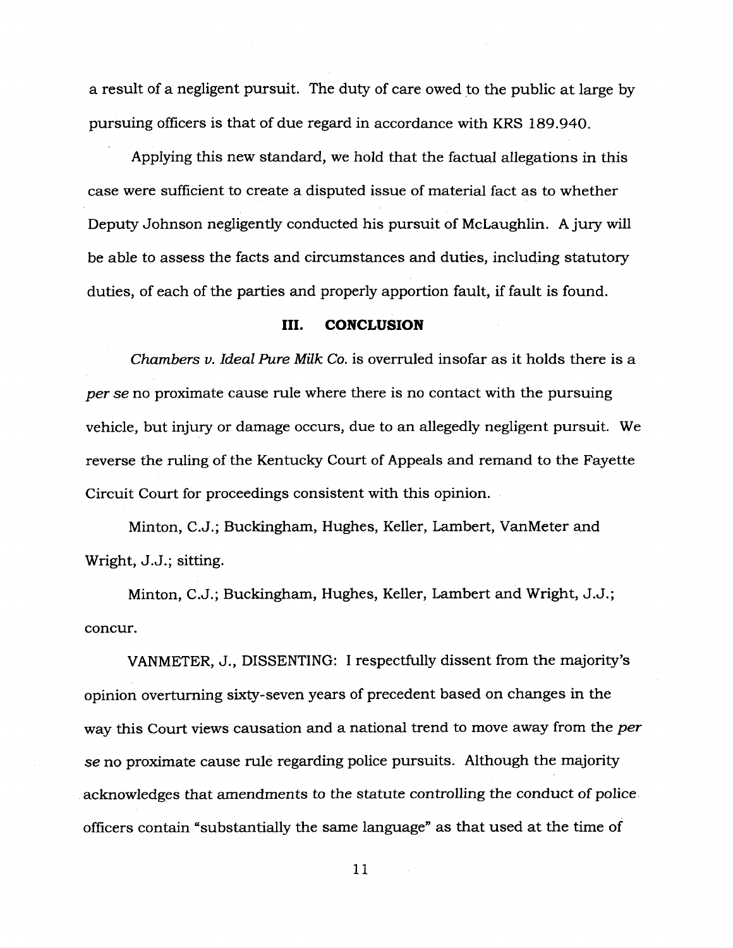a result of a negligent pursuit. The duty of care owed to the public at large by pursuing officers is that of due regard in accordance with KRS 189.940.

Applying this new standard, we hold that the factual allegations in this case were sufficient to create a disputed issue of material fact as to whether Deputy Johnson negligently conducted his pursuit of McLaughlin. A jury will be able to assess the facts and circumstances and duties, including statutory duties, of each of the parties and properly apportion fault, if fault is found.

#### **III. CONCLUSION**

*Chambers v. Ideal Pure Milk Co.* is overruled insofar as it holds there is a *per se no* proximate cause rule where there is no contact with the pursuing vehicle, but injury or damage occurs, due to an allegedly negligent pursuit. We reverse the ruling of the Kentucky Court of Appeals and remand to the Fayette Circuit Court for proceedings consistent with this opinion.

Minton, C.J.; Buckingham, Hughes, Keller, Lambert, VanMeter and Wright, J.J.; sitting.

Minton, C.J.; Buckingham, Hughes, Keller, Lambert and Wright, J.J.; concur.

VANMETER, J., DISSENTING: I respectfully dissent from the majority's opinion overturning sixty-seven years of precedent based on changes in the way this Court views causation and a national trend to move away from the *per se* no proximate cause rule regarding police pursuits. Although the majority acknowledges that amendments to the statute controlling the conduct of police officers contain "substantially the same language" as that used at the time of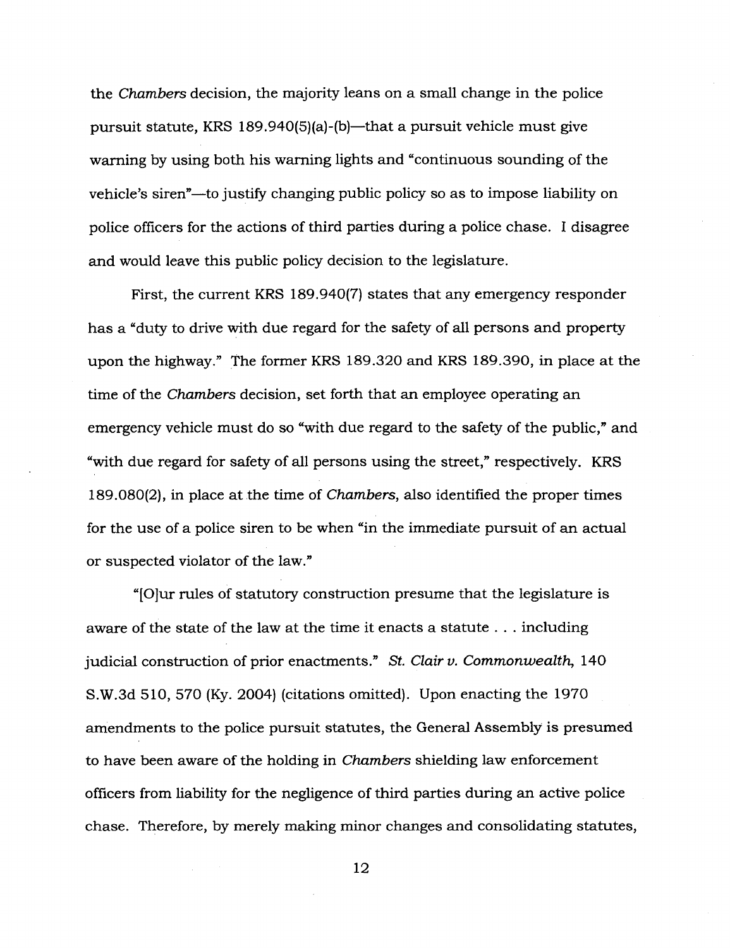the *Chambers* decision, the majority leans on a small change in the police pursuit statute, KRS 189.940(5)(a)-(b)—that a pursuit vehicle must give warning by using both his warning lights and "continuous sounding of the vehicle's siren"—to justify changing public policy so as to impose liability on police officers for the actions of third parties during a police chase. I disagree and would leave this public policy decision to the legislature.

First, the current KRS 189.940(7) states that any emergency responder has a "duty to drive with due regard for the safety of all persons and property upon the highway." The former KRS 189.320 and KRS 189.390, in place at the time of the *Chambers* decision, set forth that an employee operating an emergency vehicle must do so "with due regard to the safety of the public," and "with due regard for safety of all persons using the street," respectively. KRS 189.080(2), in place at the time of *Chambers,* also identified the proper times for the use of a police siren to be when "in the immediate pursuit of an actual or suspected violator of the law."

"[O]ur rules of statutory construction presume that the legislature is aware of the state of the law at the time it enacts a statute . . . including judicial construction of prior enactments." *St. Clair v. Commonwealth,* 140 S.W.3d 510, 570 (Ky. 2004) (citations omitted). Upon enacting the 1970 amendments to the police pursuit statutes, the General Assembly is presumed to have been aware of the holding in *Chambers* shielding law enforcement officers from liability for the negligence of third parties during an active police chase. Therefore, by merely making minor changes and consolidating statutes,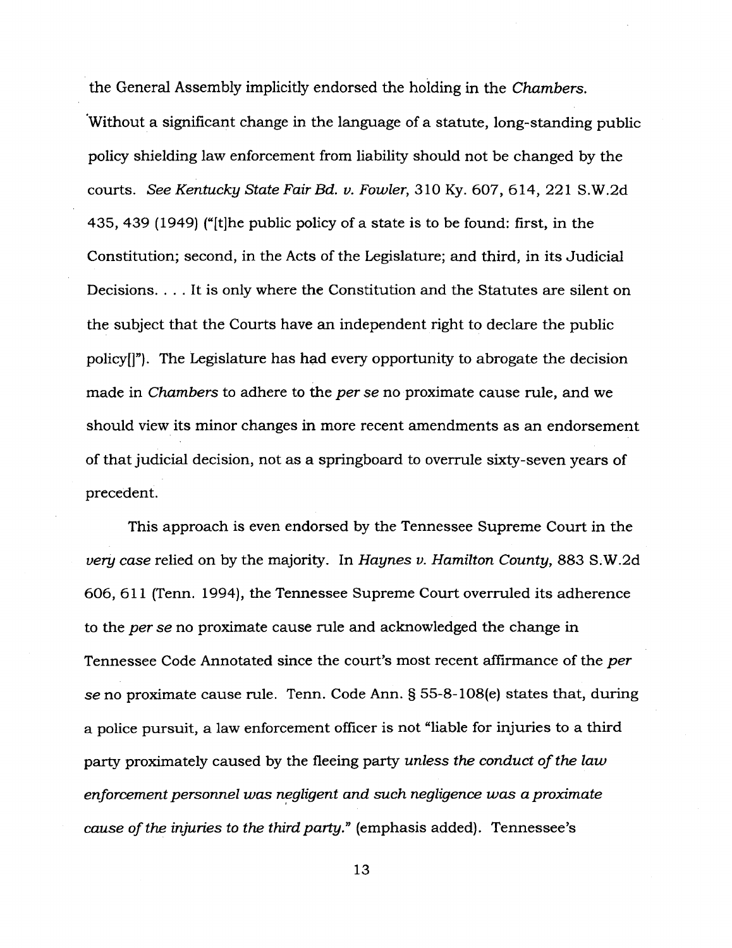the General Assembly implicitly endorsed the holding in the *Chambers.* Without a significant change in the language of a statute, long-standing public policy shielding law enforcement from liability should not be changed by the courts. *See Kentucky State Fair Bd. v. Fowler,* 310 Ky. 607, 614, 221 S.W.2d 435, 439 (1949) ("[t]he public policy of a state is to be found: first, in the Constitution; second, in the Acts of the Legislature; and third, in its Judicial Decisions. ... It is only where the Constitution and the Statutes are silent on the subject that the Courts have an independent right to declare the public policy[]"). The Legislature has had every opportunity to abrogate the decision made in *Chambers* to adhere to the *per se* no proximate cause rule, and we should view its minor changes in more recent amendments as an endorsement of that judicial decision, not as a springboard to overrule sixty-seven years of precedent.

This approach is even endorsed by the Tennessee Supreme Court in the *very case* relied on by the majority. In *Haynes v. Hamilton County,* 883 S.W.2d 606, 611 (Tenn. 1994), the Tennessee Supreme Court overruled its adherence to the *per se* no proximate cause rule and acknowledged the change in Tennessee Code Annotated since the court's most recent affirmance of the *per se* no proximate cause rule. Tenn. Code Ann. § 55-8-108(e) states that, during a police pursuit, a law enforcement officer is not "liable for injuries to a third party proximately caused by the fleeing party *unless the conduct ofthe law enforcementpersonnel was negligent and such negligence was a proximate cause ofthe injuries to the third party"* (emphasis added). Tennessee's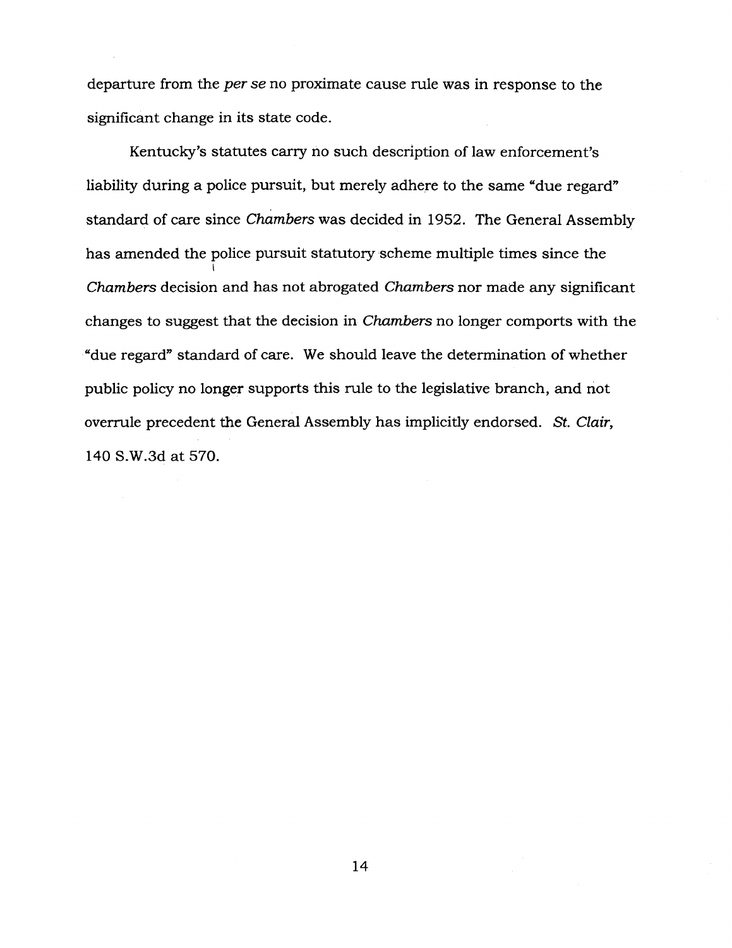departure from the *per se* no proximate cause rule was in response to the significant change in its state code.

Kentucky's statutes cany no such description of law enforcement's liability during a police pursuit, but merely adhere to the same "due regard" standard of care since *Chambers* was decided in 1952. The General Assembly has amended the police pursuit statutory scheme multiple times since the *Chambers* decision and has not abrogated *Chambers* nor made any significant changes to suggest that the decision in *Chambers* no longer comports with the "due regard" standard of care. We should leave the determination of whether public policy no longer supports this rule to the legislative branch, and not overrule precedent the General Assembly has implicitly endorsed. *St. Clair,* 140 S.W.3d at 570.